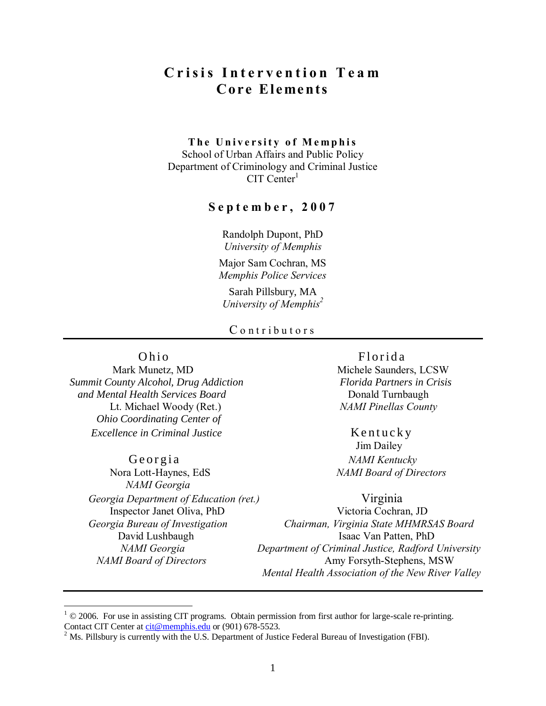# **C r i s i s I n t e r v e n t i o n T e a m Co re Eleme nts**

#### **The University of Memphis**

School of Urban Affairs and Public Policy Department of Criminology and Criminal Justice  $CIT$  Center<sup>1</sup>

#### **S e p t e m b e r , 2 0 0 7**

Randolph Dupont, PhD *University of Memphis*

Major Sam Cochran, MS *Memphis Police Services*

Sarah Pillsbury, MA *University of Memphis<sup>2</sup>*

#### C ontributors

 *Summit County Alcohol, Drug Addiction Florida Partners in Crisis and Mental Health Services Board* Donald Turnbaugh Lt. Michael Woody (Ret.) *NAMI Pinellas County Ohio Coordinating Center of Excellence in Criminal Justice* Kentucky

G e o r g i a *NAMI Kentucky* Nora Lott-Haynes, EdS *NAMI Board of Directors NAMI Georgia Georgia Department of Education (ret.)* Virginia

 $\overline{a}$ 

Ohio Florida Mark Munetz, MD Michele Saunders, LCSW

Jim Dailey

 Inspector Janet Oliva, PhD Victoria Cochran, JD  *Georgia Bureau of Investigation Chairman, Virginia State MHMRSAS Board* David Lushbaugh Isaac Van Patten, PhD *NAMI Georgia Department of Criminal Justice, Radford University NAMI Board of Directors* **Amy Forsyth-Stephens, MSW**  *Mental Health Association of the New River Valley*

 $1 \textcircled{e}$  2006. For use in assisting CIT programs. Obtain permission from first author for large-scale re-printing. Contact CIT Center at [cit@memphis.edu](mailto:cit@memphis.edu) or (901) 678-5523.

<sup>&</sup>lt;sup>2</sup> Ms. Pillsbury is currently with the U.S. Department of Justice Federal Bureau of Investigation (FBI).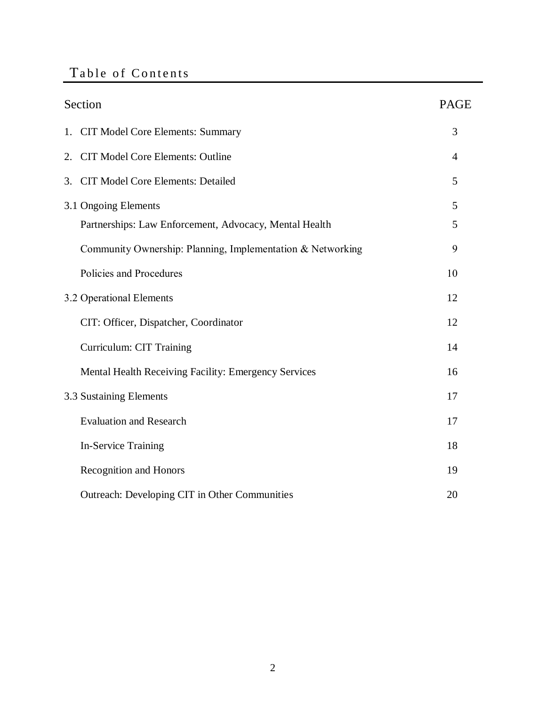# Table of Contents

| Section                                                    | <b>PAGE</b> |
|------------------------------------------------------------|-------------|
| <b>CIT Model Core Elements: Summary</b><br>1.              | 3           |
| <b>CIT Model Core Elements: Outline</b><br>2.              | 4           |
| <b>CIT Model Core Elements: Detailed</b><br>3.             | 5           |
| 3.1 Ongoing Elements                                       | 5           |
| Partnerships: Law Enforcement, Advocacy, Mental Health     | 5           |
| Community Ownership: Planning, Implementation & Networking | 9           |
| Policies and Procedures                                    | 10          |
| 3.2 Operational Elements                                   | 12          |
| CIT: Officer, Dispatcher, Coordinator                      | 12          |
| Curriculum: CIT Training                                   | 14          |
| Mental Health Receiving Facility: Emergency Services       | 16          |
| 3.3 Sustaining Elements                                    | 17          |
| <b>Evaluation and Research</b>                             | 17          |
| <b>In-Service Training</b>                                 | 18          |
| <b>Recognition and Honors</b>                              | 19          |
| Outreach: Developing CIT in Other Communities              | 20          |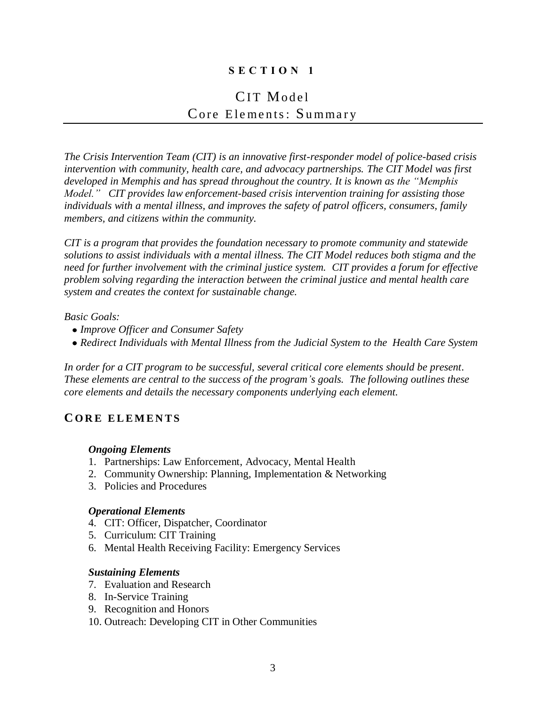# **S E C T I O N 1**

# CIT Model Core Elements: Summary

*The Crisis Intervention Team (CIT) is an innovative first-responder model of police-based crisis intervention with community, health care, and advocacy partnerships. The CIT Model was first developed in Memphis and has spread throughout the country. It is known as the "Memphis Model." CIT provides law enforcement-based crisis intervention training for assisting those individuals with a mental illness, and improves the safety of patrol officers, consumers, family members, and citizens within the community.*

*CIT is a program that provides the foundation necessary to promote community and statewide solutions to assist individuals with a mental illness. The CIT Model reduces both stigma and the need for further involvement with the criminal justice system. CIT provides a forum for effective problem solving regarding the interaction between the criminal justice and mental health care system and creates the context for sustainable change.*

#### *Basic Goals:*

- *Improve Officer and Consumer Safety*
- *Redirect Individuals with Mental Illness from the Judicial System to the Health Care System*

*In order for a CIT program to be successful, several critical core elements should be present. These elements are central to the success of the program's goals. The following outlines these core elements and details the necessary components underlying each element.*

## **C O R E E L E M E N T S**

#### *Ongoing Elements*

- 1. Partnerships: Law Enforcement, Advocacy, Mental Health
- 2. Community Ownership: Planning, Implementation & Networking
- 3. Policies and Procedures

#### *Operational Elements*

- 4. CIT: Officer, Dispatcher, Coordinator
- 5. Curriculum: CIT Training
- 6. Mental Health Receiving Facility: Emergency Services

#### *Sustaining Elements*

- 7. Evaluation and Research
- 8. In-Service Training
- 9. Recognition and Honors
- 10. Outreach: Developing CIT in Other Communities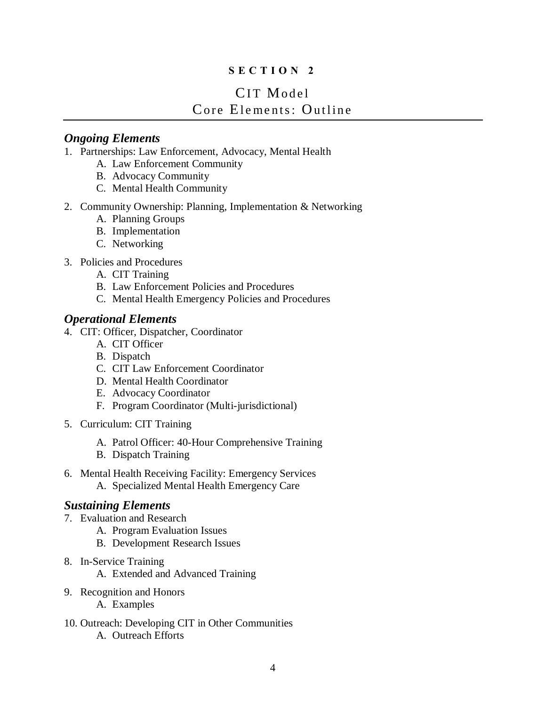# **S E C T I O N 2**

# CIT Model Core Elements: Outline

# *Ongoing Elements*

- 1. Partnerships: Law Enforcement, Advocacy, Mental Health
	- A. Law Enforcement Community
	- B. Advocacy Community
	- C. Mental Health Community
- 2. Community Ownership: Planning, Implementation & Networking
	- A. Planning Groups
	- B. Implementation
	- C. Networking
- 3. Policies and Procedures
	- A. CIT Training
	- B. Law Enforcement Policies and Procedures
	- C. Mental Health Emergency Policies and Procedures

# *Operational Elements*

- 4. CIT: Officer, Dispatcher, Coordinator
	- A. CIT Officer
	- B. Dispatch
	- C. CIT Law Enforcement Coordinator
	- D. Mental Health Coordinator
	- E. Advocacy Coordinator
	- F. Program Coordinator (Multi-jurisdictional)
- 5. Curriculum: CIT Training
	- A. Patrol Officer: 40-Hour Comprehensive Training
	- B. Dispatch Training
- 6. Mental Health Receiving Facility: Emergency Services
	- A. Specialized Mental Health Emergency Care

# *Sustaining Elements*

- 7. Evaluation and Research
	- A. Program Evaluation Issues
	- B. Development Research Issues
- 8. In-Service Training
	- A. Extended and Advanced Training
- 9. Recognition and Honors
	- A. Examples
- 10. Outreach: Developing CIT in Other Communities A. Outreach Efforts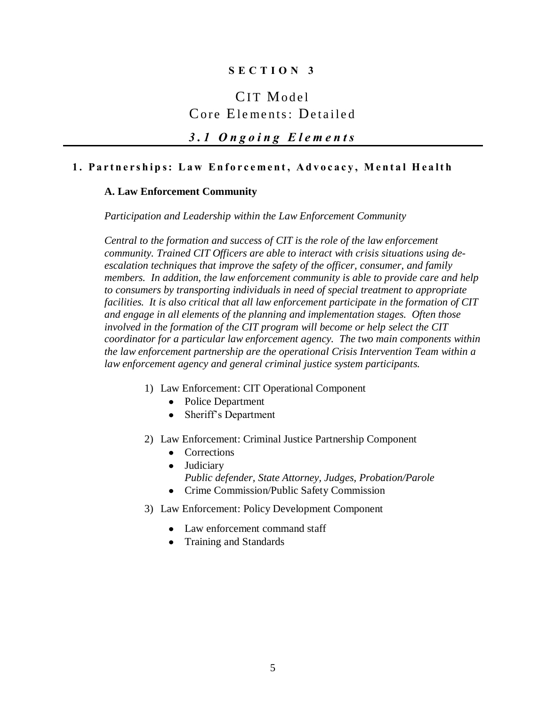## **S E C T I O N 3**

# CIT Model Core Elements: Detailed

# *3 . 1 O n g o i n g E l e m e n t s*

### **1. Partnerships: Law Enforcement, Advocacy, Mental Health**

#### **A. Law Enforcement Community**

*Participation and Leadership within the Law Enforcement Community* 

*Central to the formation and success of CIT is the role of the law enforcement community. Trained CIT Officers are able to interact with crisis situations using deescalation techniques that improve the safety of the officer, consumer, and family members. In addition, the law enforcement community is able to provide care and help to consumers by transporting individuals in need of special treatment to appropriate facilities. It is also critical that all law enforcement participate in the formation of CIT and engage in all elements of the planning and implementation stages. Often those involved in the formation of the CIT program will become or help select the CIT coordinator for a particular law enforcement agency. The two main components within the law enforcement partnership are the operational Crisis Intervention Team within a law enforcement agency and general criminal justice system participants.* 

- 1) Law Enforcement: CIT Operational Component
	- Police Department
	- Sheriff's Department
- 2) Law Enforcement: Criminal Justice Partnership Component
	- Corrections
	- Judiciary *Public defender, State Attorney, Judges, Probation/Parole*
	- Crime Commission/Public Safety Commission
- 3) Law Enforcement: Policy Development Component
	- Law enforcement command staff
	- Training and Standards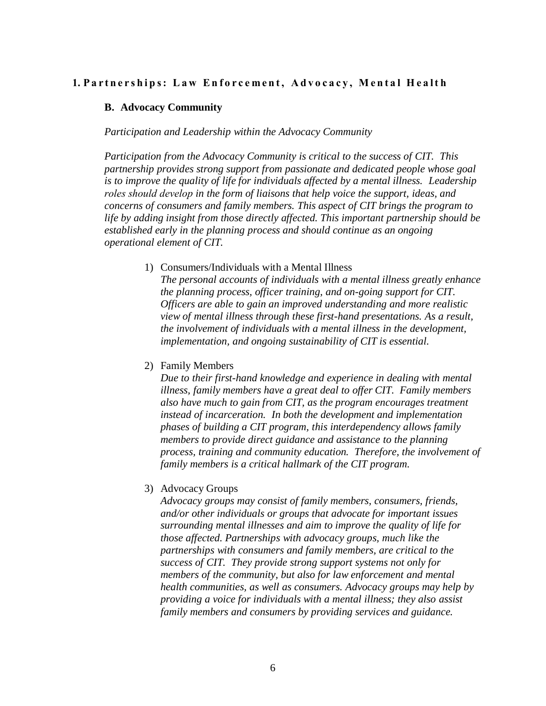#### **1. Partnerships: Law Enforcement, Advocacy, Mental Health**

#### **B. Advocacy Community**

*Participation and Leadership within the Advocacy Community* 

*Participation from the Advocacy Community is critical to the success of CIT. This partnership provides strong support from passionate and dedicated people whose goal is to improve the quality of life for individuals affected by a mental illness. Leadership roles should develop in the form of liaisons that help voice the support, ideas, and concerns of consumers and family members. This aspect of CIT brings the program to life by adding insight from those directly affected. This important partnership should be established early in the planning process and should continue as an ongoing operational element of CIT.*

1) Consumers/Individuals with a Mental Illness

*The personal accounts of individuals with a mental illness greatly enhance the planning process, officer training, and on-going support for CIT. Officers are able to gain an improved understanding and more realistic view of mental illness through these first-hand presentations. As a result, the involvement of individuals with a mental illness in the development, implementation, and ongoing sustainability of CIT is essential.*

2) Family Members

*Due to their first-hand knowledge and experience in dealing with mental illness, family members have a great deal to offer CIT. Family members also have much to gain from CIT, as the program encourages treatment instead of incarceration. In both the development and implementation phases of building a CIT program, this interdependency allows family members to provide direct guidance and assistance to the planning process, training and community education. Therefore, the involvement of family members is a critical hallmark of the CIT program.* 

3) Advocacy Groups

*Advocacy groups may consist of family members, consumers, friends, and/or other individuals or groups that advocate for important issues surrounding mental illnesses and aim to improve the quality of life for those affected. Partnerships with advocacy groups, much like the partnerships with consumers and family members, are critical to the success of CIT. They provide strong support systems not only for members of the community, but also for law enforcement and mental health communities, as well as consumers. Advocacy groups may help by providing a voice for individuals with a mental illness; they also assist family members and consumers by providing services and guidance.*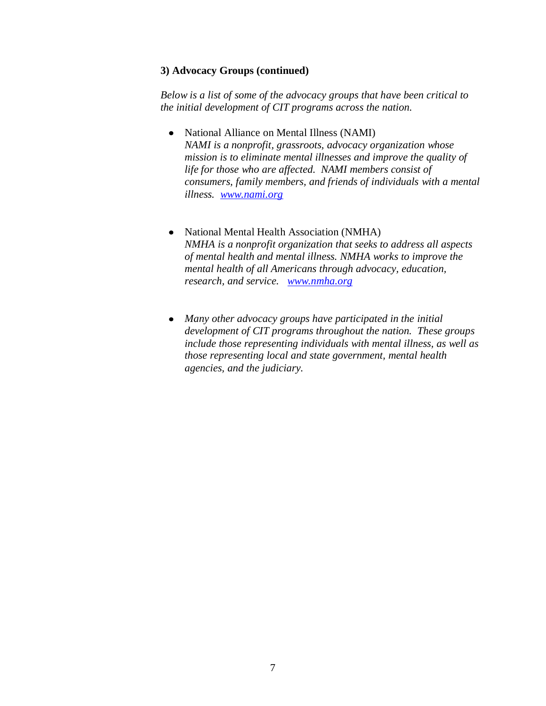#### **3) Advocacy Groups (continued)**

*Below is a list of some of the advocacy groups that have been critical to the initial development of CIT programs across the nation.* 

- National Alliance on Mental Illness (NAMI) *NAMI is a nonprofit, grassroots, advocacy organization whose mission is to eliminate mental illnesses and improve the quality of life for those who are affected. NAMI members consist of consumers, family members, and friends of individuals with a mental illness. [www.nami.org](http://www.nami.org/)*
- National Mental Health Association (NMHA) *NMHA is a nonprofit organization that seeks to address all aspects of mental health and mental illness. NMHA works to improve the mental health of all Americans through advocacy, education, research, and service. [www.nmha.org](http://www.nmha.org/)*
- *Many other advocacy groups have participated in the initial development of CIT programs throughout the nation. These groups include those representing individuals with mental illness, as well as those representing local and state government, mental health agencies, and the judiciary.*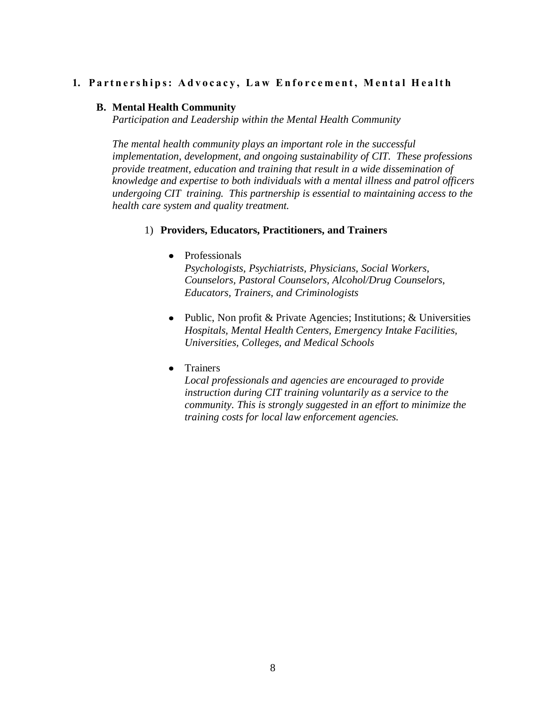### 1. Partnerships: Advocacy, Law Enforcement, Mental Health

#### **B. Mental Health Community**

*Participation and Leadership within the Mental Health Community* 

*The mental health community plays an important role in the successful implementation, development, and ongoing sustainability of CIT. These professions provide treatment, education and training that result in a wide dissemination of knowledge and expertise to both individuals with a mental illness and patrol officers undergoing CIT training. This partnership is essential to maintaining access to the health care system and quality treatment.*

#### 1) **Providers, Educators, Practitioners, and Trainers**

#### • Professionals

*Psychologists, Psychiatrists, Physicians, Social Workers, Counselors, Pastoral Counselors, Alcohol/Drug Counselors*, *Educators, Trainers, and Criminologists*

- Public, Non profit & Private Agencies; Institutions; & Universities *Hospitals, Mental Health Centers, Emergency Intake Facilities, Universities, Colleges, and Medical Schools*
- Trainers

*Local professionals and agencies are encouraged to provide instruction during CIT training voluntarily as a service to the community. This is strongly suggested in an effort to minimize the training costs for local law enforcement agencies.*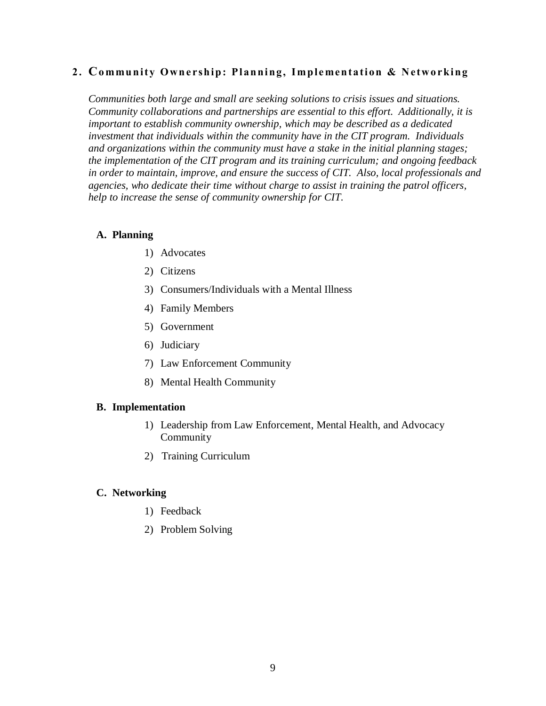## **2. Co mmu nit y Own e rship: P lanning, I m ple ment at ion & N et wo rking**

*Communities both large and small are seeking solutions to crisis issues and situations. Community collaborations and partnerships are essential to this effort. Additionally, it is important to establish community ownership, which may be described as a dedicated investment that individuals within the community have in the CIT program. Individuals and organizations within the community must have a stake in the initial planning stages; the implementation of the CIT program and its training curriculum; and ongoing feedback in order to maintain, improve, and ensure the success of CIT. Also, local professionals and agencies, who dedicate their time without charge to assist in training the patrol officers, help to increase the sense of community ownership for CIT.* 

#### **A. Planning**

- 1) Advocates
- 2) Citizens
- 3) Consumers/Individuals with a Mental Illness
- 4) Family Members
- 5) Government
- 6) Judiciary
- 7) Law Enforcement Community
- 8) Mental Health Community

#### **B. Implementation**

- 1) Leadership from Law Enforcement, Mental Health, and Advocacy Community
- 2) Training Curriculum

#### **C. Networking**

- 1) Feedback
- 2) Problem Solving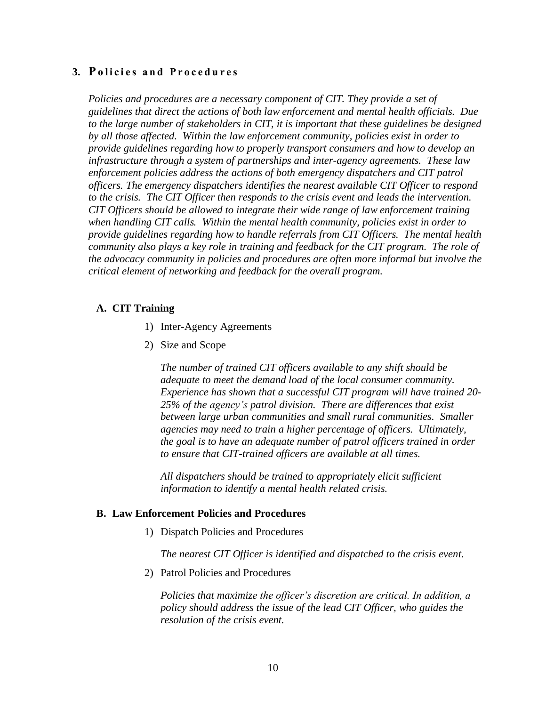### **3. Policies and Procedures**

*Policies and procedures are a necessary component of CIT. They provide a set of guidelines that direct the actions of both law enforcement and mental health officials. Due to the large number of stakeholders in CIT, it is important that these guidelines be designed by all those affected. Within the law enforcement community, policies exist in order to provide guidelines regarding how to properly transport consumers and how to develop an infrastructure through a system of partnerships and inter-agency agreements. These law enforcement policies address the actions of both emergency dispatchers and CIT patrol officers. The emergency dispatchers identifies the nearest available CIT Officer to respond to the crisis. The CIT Officer then responds to the crisis event and leads the intervention. CIT Officers should be allowed to integrate their wide range of law enforcement training when handling CIT calls. Within the mental health community, policies exist in order to provide guidelines regarding how to handle referrals from CIT Officers. The mental health community also plays a key role in training and feedback for the CIT program. The role of the advocacy community in policies and procedures are often more informal but involve the critical element of networking and feedback for the overall program.*

#### **A. CIT Training**

- 1) Inter-Agency Agreements
- 2) Size and Scope

*The number of trained CIT officers available to any shift should be adequate to meet the demand load of the local consumer community. Experience has shown that a successful CIT program will have trained 20- 25% of the agency's patrol division. There are differences that exist between large urban communities and small rural communities. Smaller agencies may need to train a higher percentage of officers. Ultimately, the goal is to have an adequate number of patrol officers trained in order to ensure that CIT-trained officers are available at all times.* 

*All dispatchers should be trained to appropriately elicit sufficient information to identify a mental health related crisis.*

#### **B. Law Enforcement Policies and Procedures**

1) Dispatch Policies and Procedures

*The nearest CIT Officer is identified and dispatched to the crisis event.*

2) Patrol Policies and Procedures

*Policies that maximize the officer's discretion are critical. In addition, a policy should address the issue of the lead CIT Officer, who guides the resolution of the crisis event.*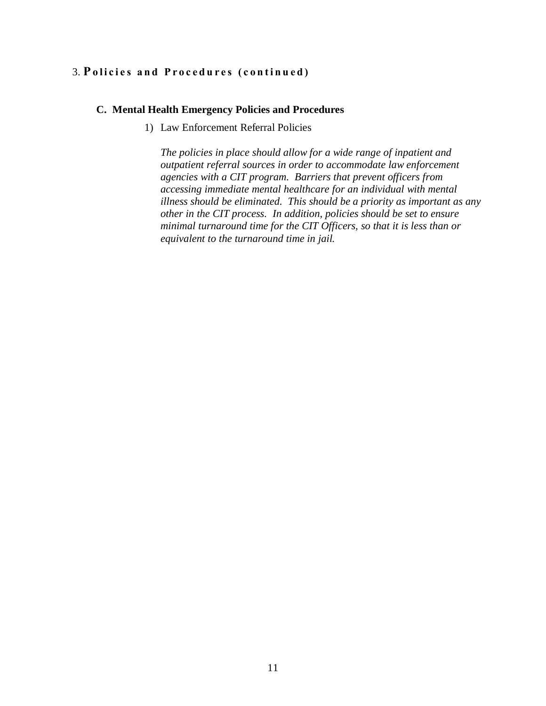## 3. Policies and Procedures (continued)

#### **C. Mental Health Emergency Policies and Procedures**

1) Law Enforcement Referral Policies

*The policies in place should allow for a wide range of inpatient and outpatient referral sources in order to accommodate law enforcement agencies with a CIT program. Barriers that prevent officers from accessing immediate mental healthcare for an individual with mental illness should be eliminated. This should be a priority as important as any other in the CIT process. In addition, policies should be set to ensure minimal turnaround time for the CIT Officers, so that it is less than or equivalent to the turnaround time in jail.*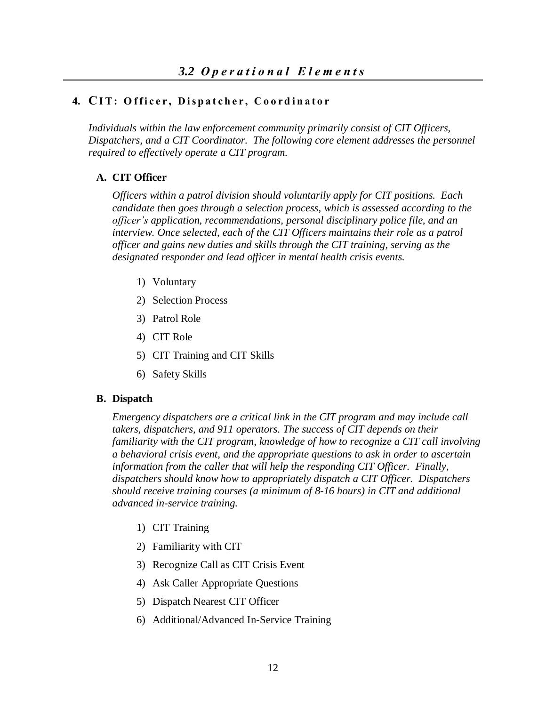# **4. CI T : O f f i c e r , D i s p a t c h e r , C o o r d i n a t o r**

*Individuals within the law enforcement community primarily consist of CIT Officers, Dispatchers, and a CIT Coordinator. The following core element addresses the personnel required to effectively operate a CIT program.* 

### **A. CIT Officer**

*Officers within a patrol division should voluntarily apply for CIT positions. Each candidate then goes through a selection process, which is assessed according to the officer's application, recommendations, personal disciplinary police file, and an interview. Once selected, each of the CIT Officers maintains their role as a patrol officer and gains new duties and skills through the CIT training, serving as the designated responder and lead officer in mental health crisis events.*

- 1) Voluntary
- 2) Selection Process
- 3) Patrol Role
- 4) CIT Role
- 5) CIT Training and CIT Skills
- 6) Safety Skills

#### **B. Dispatch**

*Emergency dispatchers are a critical link in the CIT program and may include call takers, dispatchers, and 911 operators. The success of CIT depends on their familiarity with the CIT program, knowledge of how to recognize a CIT call involving a behavioral crisis event, and the appropriate questions to ask in order to ascertain information from the caller that will help the responding CIT Officer. Finally, dispatchers should know how to appropriately dispatch a CIT Officer. Dispatchers should receive training courses (a minimum of 8-16 hours) in CIT and additional advanced in-service training.*

- 1) CIT Training
- 2) Familiarity with CIT
- 3) Recognize Call as CIT Crisis Event
- 4) Ask Caller Appropriate Questions
- 5) Dispatch Nearest CIT Officer
- 6) Additional/Advanced In-Service Training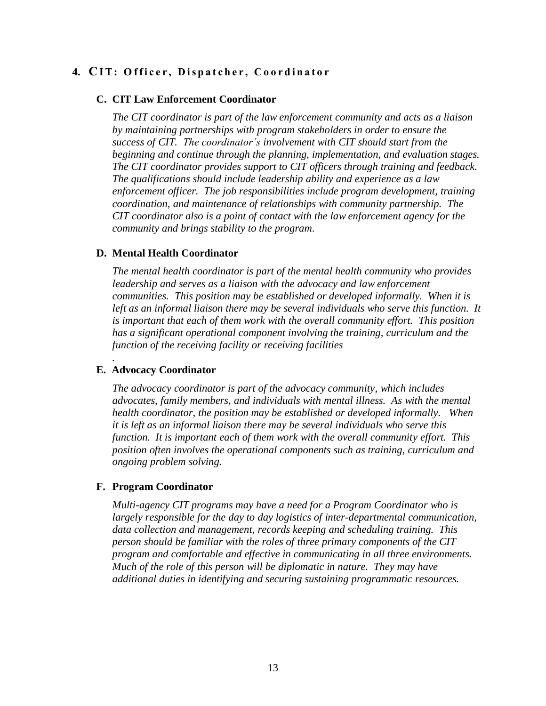# **4. CI T : O f f i c e r , D i s p a t c h e r , C o o r d i n a t o r**

#### **C. CIT Law Enforcement Coordinator**

*The CIT coordinator is part of the law enforcement community and acts as a liaison by maintaining partnerships with program stakeholders in order to ensure the success of CIT. The coordinator's involvement with CIT should start from the beginning and continue through the planning, implementation, and evaluation stages. The CIT coordinator provides support to CIT officers through training and feedback. The qualifications should include leadership ability and experience as a law enforcement officer. The job responsibilities include program development, training coordination, and maintenance of relationships with community partnership. The CIT coordinator also is a point of contact with the law enforcement agency for the community and brings stability to the program*.

#### **D. Mental Health Coordinator**

*The mental health coordinator is part of the mental health community who provides leadership and serves as a liaison with the advocacy and law enforcement communities. This position may be established or developed informally. When it is*  left as an informal liaison there may be several individuals who serve this function. It *is important that each of them work with the overall community effort. This position has a significant operational component involving the training, curriculum and the function of the receiving facility or receiving facilities*

#### **E. Advocacy Coordinator**

*.*

*The advocacy coordinator is part of the advocacy community, which includes advocates, family members, and individuals with mental illness. As with the mental health coordinator, the position may be established or developed informally. When it is left as an informal liaison there may be several individuals who serve this function. It is important each of them work with the overall community effort. This position often involves the operational components such as training, curriculum and ongoing problem solving.*

#### **F. Program Coordinator**

*Multi-agency CIT programs may have a need for a Program Coordinator who is largely responsible for the day to day logistics of inter-departmental communication, data collection and management, records keeping and scheduling training. This person should be familiar with the roles of three primary components of the CIT program and comfortable and effective in communicating in all three environments. Much of the role of this person will be diplomatic in nature. They may have additional duties in identifying and securing sustaining programmatic resources.*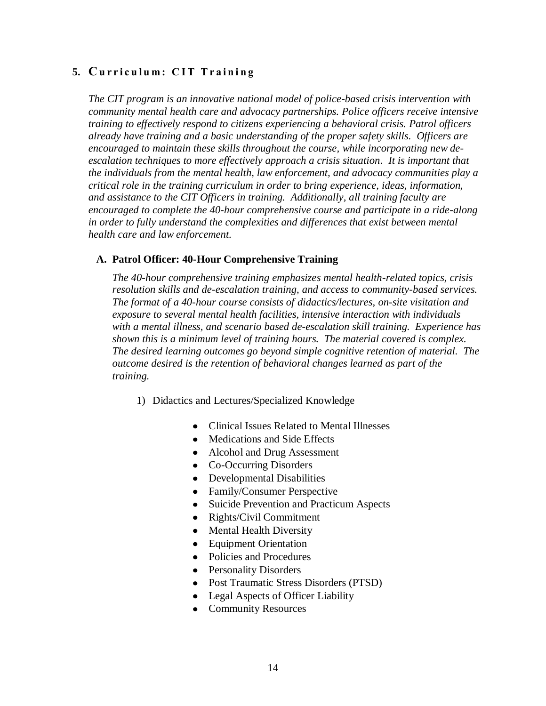# **5. Cu r r i c u l u m : C I T T r a i n i n g**

*The CIT program is an innovative national model of police-based crisis intervention with community mental health care and advocacy partnerships. Police officers receive intensive training to effectively respond to citizens experiencing a behavioral crisis. Patrol officers already have training and a basic understanding of the proper safety skills. Officers are encouraged to maintain these skills throughout the course, while incorporating new deescalation techniques to more effectively approach a crisis situation. It is important that the individuals from the mental health, law enforcement, and advocacy communities play a critical role in the training curriculum in order to bring experience, ideas, information, and assistance to the CIT Officers in training. Additionally, all training faculty are encouraged to complete the 40-hour comprehensive course and participate in a ride-along in order to fully understand the complexities and differences that exist between mental health care and law enforcement.*

#### **A. Patrol Officer: 40-Hour Comprehensive Training**

*The 40-hour comprehensive training emphasizes mental health-related topics, crisis resolution skills and de-escalation training, and access to community-based services. The format of a 40-hour course consists of didactics/lectures, on-site visitation and exposure to several mental health facilities, intensive interaction with individuals with a mental illness, and scenario based de-escalation skill training. Experience has shown this is a minimum level of training hours. The material covered is complex. The desired learning outcomes go beyond simple cognitive retention of material. The outcome desired is the retention of behavioral changes learned as part of the training.*

- 1) Didactics and Lectures/Specialized Knowledge
	- Clinical Issues Related to Mental Illnesses
	- Medications and Side Effects
	- Alcohol and Drug Assessment
	- Co-Occurring Disorders
	- Developmental Disabilities
	- Family/Consumer Perspective
	- Suicide Prevention and Practicum Aspects
	- Rights/Civil Commitment
	- Mental Health Diversity
	- Equipment Orientation
	- Policies and Procedures
	- Personality Disorders
	- Post Traumatic Stress Disorders (PTSD)
	- Legal Aspects of Officer Liability
	- Community Resources $\bullet$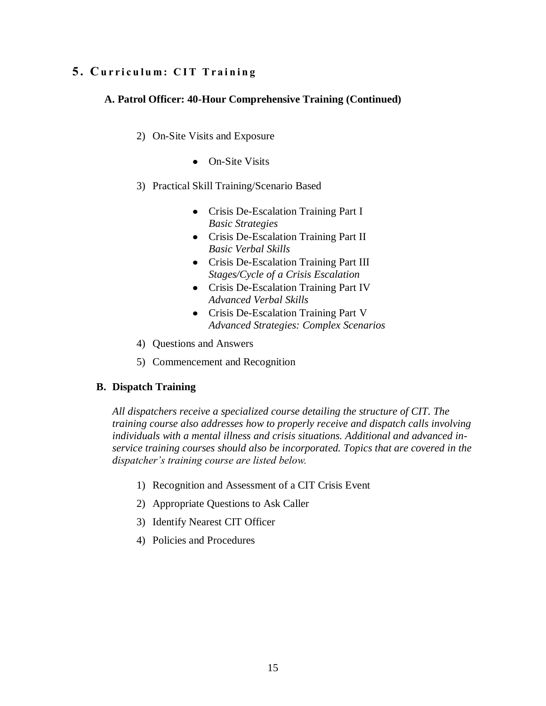# **5 . Cu r r i c u l u m : C I T T r a i n i n g**

# **A. Patrol Officer: 40-Hour Comprehensive Training (Continued)**

- 2) On-Site Visits and Exposure
	- On-Site Visits
- 3) Practical Skill Training/Scenario Based
	- Crisis De-Escalation Training Part I *Basic Strategies*
	- Crisis De-Escalation Training Part II *Basic Verbal Skills*
	- Crisis De-Escalation Training Part III *Stages/Cycle of a Crisis Escalation*
	- Crisis De-Escalation Training Part IV *Advanced Verbal Skills*
	- Crisis De-Escalation Training Part V *Advanced Strategies: Complex Scenarios*
- 4) Questions and Answers
- 5) Commencement and Recognition

# **B. Dispatch Training**

*All dispatchers receive a specialized course detailing the structure of CIT. The training course also addresses how to properly receive and dispatch calls involving individuals with a mental illness and crisis situations. Additional and advanced inservice training courses should also be incorporated. Topics that are covered in the dispatcher's training course are listed below.*

- 1) Recognition and Assessment of a CIT Crisis Event
- 2) Appropriate Questions to Ask Caller
- 3) Identify Nearest CIT Officer
- 4) Policies and Procedures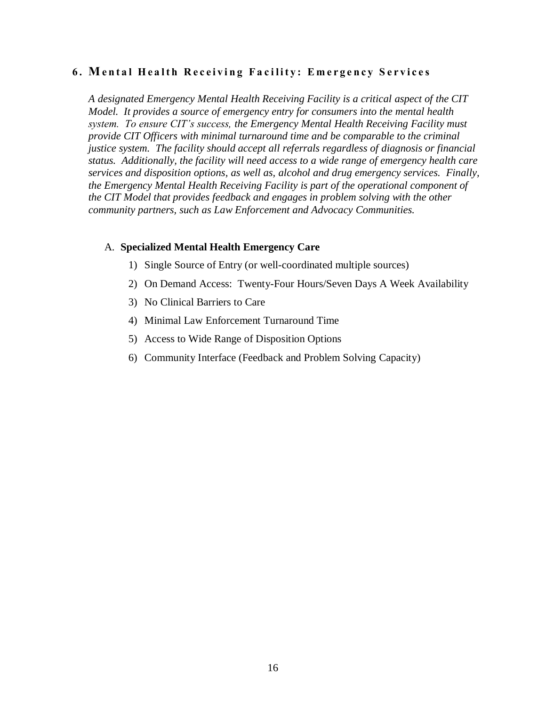### **6. Mental Health Receiving Facility: Emergency Services**

*A designated Emergency Mental Health Receiving Facility is a critical aspect of the CIT Model. It provides a source of emergency entry for consumers into the mental health system. To ensure CIT's success, the Emergency Mental Health Receiving Facility must provide CIT Officers with minimal turnaround time and be comparable to the criminal justice system. The facility should accept all referrals regardless of diagnosis or financial status. Additionally, the facility will need access to a wide range of emergency health care services and disposition options, as well as, alcohol and drug emergency services. Finally, the Emergency Mental Health Receiving Facility is part of the operational component of the CIT Model that provides feedback and engages in problem solving with the other community partners, such as Law Enforcement and Advocacy Communities.*

#### A. **Specialized Mental Health Emergency Care**

- 1) Single Source of Entry (or well-coordinated multiple sources)
- 2) On Demand Access: Twenty-Four Hours/Seven Days A Week Availability
- 3) No Clinical Barriers to Care
- 4) Minimal Law Enforcement Turnaround Time
- 5) Access to Wide Range of Disposition Options
- 6) Community Interface (Feedback and Problem Solving Capacity)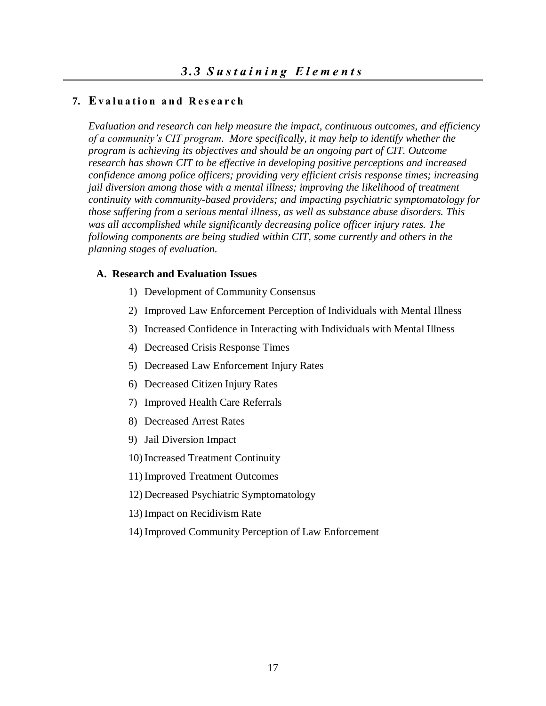#### **7. Ev a l u a t i o n a n d R e s e a r c h**

*Evaluation and research can help measure the impact, continuous outcomes, and efficiency of a community's CIT program. More specifically, it may help to identify whether the program is achieving its objectives and should be an ongoing part of CIT. Outcome research has shown CIT to be effective in developing positive perceptions and increased confidence among police officers; providing very efficient crisis response times; increasing jail diversion among those with a mental illness; improving the likelihood of treatment continuity with community-based providers; and impacting psychiatric symptomatology for those suffering from a serious mental illness, as well as substance abuse disorders. This was all accomplished while significantly decreasing police officer injury rates. The following components are being studied within CIT, some currently and others in the planning stages of evaluation.* 

#### **A. Research and Evaluation Issues**

- 1) Development of Community Consensus
- 2) Improved Law Enforcement Perception of Individuals with Mental Illness
- 3) Increased Confidence in Interacting with Individuals with Mental Illness
- 4) Decreased Crisis Response Times
- 5) Decreased Law Enforcement Injury Rates
- 6) Decreased Citizen Injury Rates
- 7) Improved Health Care Referrals
- 8) Decreased Arrest Rates
- 9) Jail Diversion Impact
- 10) Increased Treatment Continuity
- 11) Improved Treatment Outcomes
- 12) Decreased Psychiatric Symptomatology
- 13) Impact on Recidivism Rate
- 14) Improved Community Perception of Law Enforcement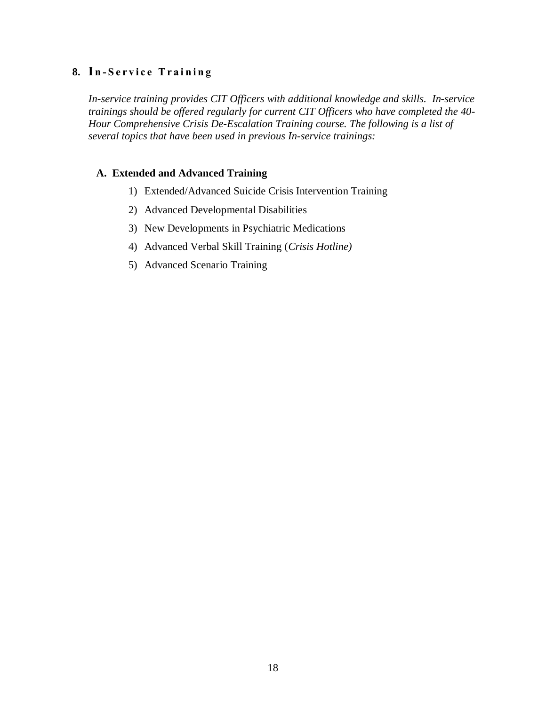# **8. I n - S e r v i c e T r a i n i n g**

*In-service training provides CIT Officers with additional knowledge and skills. In-service trainings should be offered regularly for current CIT Officers who have completed the 40- Hour Comprehensive Crisis De-Escalation Training course. The following is a list of several topics that have been used in previous In-service trainings:* 

#### **A. Extended and Advanced Training**

- 1) Extended/Advanced Suicide Crisis Intervention Training
- 2) Advanced Developmental Disabilities
- 3) New Developments in Psychiatric Medications
- 4) Advanced Verbal Skill Training (*Crisis Hotline)*
- 5) Advanced Scenario Training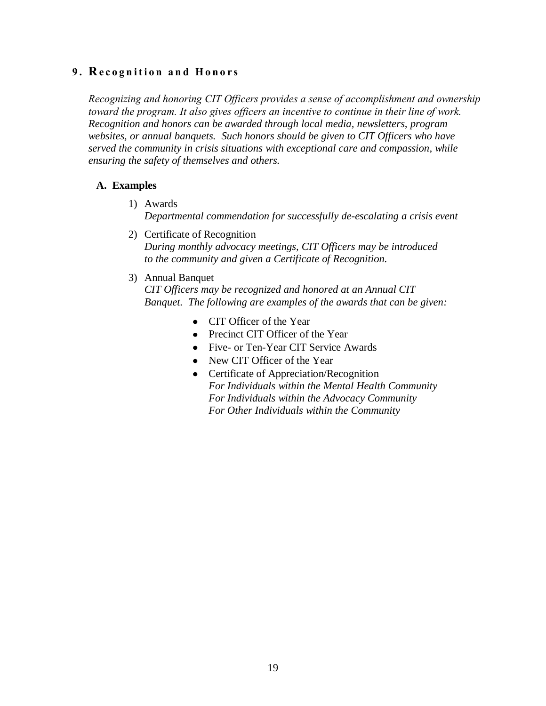## **9. Recognition and Honors**

*Recognizing and honoring CIT Officers provides a sense of accomplishment and ownership toward the program. It also gives officers an incentive to continue in their line of work. Recognition and honors can be awarded through local media, newsletters, program websites, or annual banquets. Such honors should be given to CIT Officers who have served the community in crisis situations with exceptional care and compassion, while ensuring the safety of themselves and others.*

### **A. Examples**

- 1) Awards *Departmental commendation for successfully de-escalating a crisis event*
- 2) Certificate of Recognition *During monthly advocacy meetings, CIT Officers may be introduced to the community and given a Certificate of Recognition.*
- 3) Annual Banquet

*CIT Officers may be recognized and honored at an Annual CIT Banquet. The following are examples of the awards that can be given:*

- CIT Officer of the Year
- Precinct CIT Officer of the Year
- Five- or Ten-Year CIT Service Awards
- New CIT Officer of the Year
- Certificate of Appreciation/Recognition *For Individuals within the Mental Health Community For Individuals within the Advocacy Community For Other Individuals within the Community*